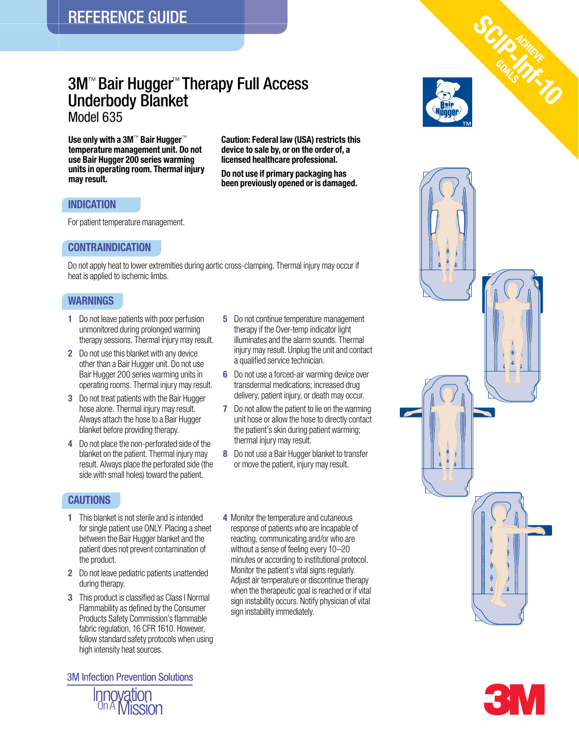# 3M™ Bair Hugger™ Therapy Full Access Underbody Blanket

Model 635

Use only with a 3M<sup>™</sup> Bair Hugger<sup>™</sup> temperature management unit. Do not use Bair Hugger 200 series warming units in operating room. Thermal injury may result.

Caution: Federal law (USA) restricts this device to sale by, or on the order of, a licensed healthcare professional.

Do not use if primary packaging has been previously opened or is damaged.

## INDICATION

For patient temperature management.

### CONTRAINDICATION

Do not apply heat to lower extremities during aortic cross-clamping. Thermal injury may occur if heat is applied to ischemic limbs.

## **WARNINGS**

- 1 Do not leave patients with poor perfusion unmonitored during prolonged warming therapy sessions. Thermal injury may result.
- 2 Do not use this blanket with any device other than a Bair Hugger unit. Do not use Bair Hugger 200 series warming units in operating rooms. Thermal injury may result.
- **3** Do not treat patients with the Bair Hugger hose alone. Thermal injury may result. Always attach the hose to a Bair Hugger blanket before providing therapy.
- 4 Do not place the non-perforated side of the blanket on the patient. Thermal injury may result. Always place the perforated side (the side with small holes) toward the patient.

## **CAUTIONS**

- **1** This blanket is not sterile and is intended for single patient use ONLY. Placing a sheet between the Bair Hugger blanket and the patient does not prevent contamination of the product.
- 2 Do not leave pediatric patients unattended during therapy.
- **3** This product is classified as Class I Normal Flammability as defined by the Consumer Products Safety Commission's flammable fabric regulation, 16 CFR 1610. However, follow standard safety protocols when using high intensity heat sources.

**3M Infection Prevention Solutions** 



- **5** Do not continue temperature management therapy if the Over-temp indicator light illuminates and the alarm sounds. Thermal injury may result. Unplug the unit and contact a qualified service technician.
- 6 Do not use a forced-air warming device over transdermal medications; increased drug delivery, patient injury, or death may occur.
- **7** Do not allow the patient to lie on the warming unit hose or allow the hose to directly contact the patient's skin during patient warming; thermal injury may result.
- 8 Do not use a Bair Hugger blanket to transfer or move the patient, injury may result.
- 4 Monitor the temperature and cutaneous response of patients who are incapable of reacting, communicating and/or who are without a sense of feeling every 10–20 minutes or according to institutional protocol. Monitor the patient's vital signs regularly. Adjust air temperature or discontinue therapy when the therapeutic goal is reached or if vital sign instability occurs. Notify physician of vital sign instability immediately.



Ac<sub>hueve</sub>